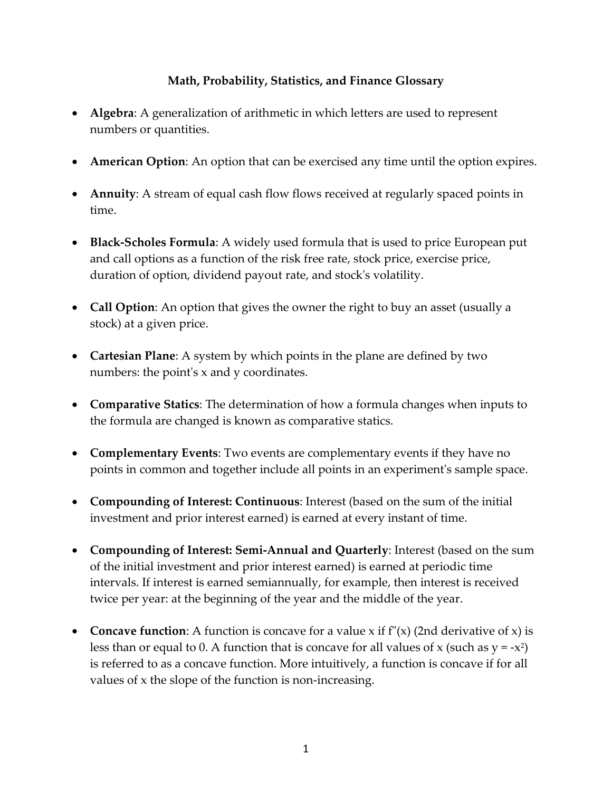## **Math, Probability, Statistics, and Finance Glossary**

- **Algebra**: A generalization of arithmetic in which letters are used to represent numbers or quantities.
- **American Option**: An option that can be exercised any time until the option expires.
- **Annuity**: A stream of equal cash flow flows received at regularly spaced points in time.
- **Black-Scholes Formula**: A widely used formula that is used to price European put and call options as a function of the risk free rate, stock price, exercise price, duration of option, dividend payout rate, and stock's volatility.
- **Call Option**: An option that gives the owner the right to buy an asset (usually a stock) at a given price.
- **Cartesian Plane**: A system by which points in the plane are defined by two numbers: the point's x and y coordinates.
- **Comparative Statics**: The determination of how a formula changes when inputs to the formula are changed is known as comparative statics.
- **Complementary Events**: Two events are complementary events if they have no points in common and together include all points in an experiment's sample space.
- **Compounding of Interest: Continuous**: Interest (based on the sum of the initial investment and prior interest earned) is earned at every instant of time.
- **Compounding of Interest: Semi-Annual and Quarterly**: Interest (based on the sum of the initial investment and prior interest earned) is earned at periodic time intervals. If interest is earned semiannually, for example, then interest is received twice per year: at the beginning of the year and the middle of the year.
- **Concave function**: A function is concave for a value x if  $f''(x)$  (2nd derivative of x) is less than or equal to 0. A function that is concave for all values of x (such as  $y = -x^2$ ) is referred to as a concave function. More intuitively, a function is concave if for all values of x the slope of the function is non-increasing.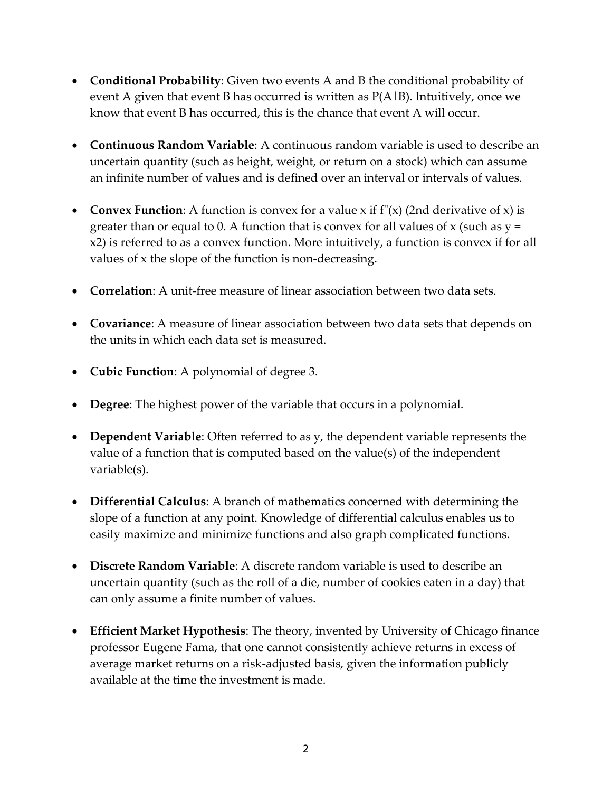- **Conditional Probability**: Given two events A and B the conditional probability of event A given that event B has occurred is written as  $P(A|B)$ . Intuitively, once we know that event B has occurred, this is the chance that event A will occur.
- **Continuous Random Variable**: A continuous random variable is used to describe an uncertain quantity (such as height, weight, or return on a stock) which can assume an infinite number of values and is defined over an interval or intervals of values.
- **Convex Function**: A function is convex for a value x if  $f''(x)$  (2nd derivative of x) is greater than or equal to 0. A function that is convex for all values of x (such as  $y =$ x2) is referred to as a convex function. More intuitively, a function is convex if for all values of x the slope of the function is non-decreasing.
- **Correlation**: A unit-free measure of linear association between two data sets.
- **Covariance**: A measure of linear association between two data sets that depends on the units in which each data set is measured.
- **Cubic Function**: A polynomial of degree 3.
- **Degree**: The highest power of the variable that occurs in a polynomial.
- **Dependent Variable**: Often referred to as y, the dependent variable represents the value of a function that is computed based on the value(s) of the independent variable(s).
- **Differential Calculus**: A branch of mathematics concerned with determining the slope of a function at any point. Knowledge of differential calculus enables us to easily maximize and minimize functions and also graph complicated functions.
- **Discrete Random Variable**: A discrete random variable is used to describe an uncertain quantity (such as the roll of a die, number of cookies eaten in a day) that can only assume a finite number of values.
- **Efficient Market Hypothesis**: The theory, invented by University of Chicago finance professor Eugene Fama, that one cannot consistently achieve returns in excess of average market returns on a risk-adjusted basis, given the information publicly available at the time the investment is made.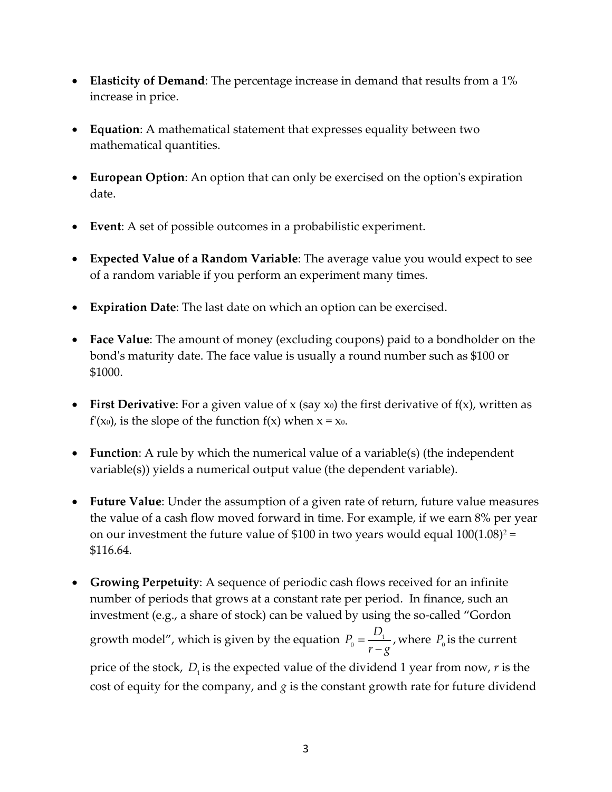- **Elasticity of Demand**: The percentage increase in demand that results from a 1% increase in price.
- **Equation**: A mathematical statement that expresses equality between two mathematical quantities.
- **European Option**: An option that can only be exercised on the option's expiration date.
- **Event**: A set of possible outcomes in a probabilistic experiment.
- **Expected Value of a Random Variable**: The average value you would expect to see of a random variable if you perform an experiment many times.
- **Expiration Date**: The last date on which an option can be exercised.
- **Face Value**: The amount of money (excluding coupons) paid to a bondholder on the bond's maturity date. The face value is usually a round number such as \$100 or \$1000.
- First Derivative: For a given value of x (say x<sub>0</sub>) the first derivative of f(x), written as  $f'(x_0)$ , is the slope of the function  $f(x)$  when  $x = x_0$ .
- **Function**: A rule by which the numerical value of a variable(s) (the independent variable(s)) yields a numerical output value (the dependent variable).
- **Future Value**: Under the assumption of a given rate of return, future value measures the value of a cash flow moved forward in time. For example, if we earn 8% per year on our investment the future value of \$100 in two years would equal  $100(1.08)^2$  = \$116.64.
- **Growing Perpetuity**: A sequence of periodic cash flows received for an infinite number of periods that grows at a constant rate per period. In finance, such an investment (e.g., a share of stock) can be valued by using the so-called "Gordon growth model", which is given by the equation  $P_{0} = \frac{1}{\sqrt{2\pi}}$  $\frac{1}{0}$  = -, *D P*  $r - g$ where  $P_0$  is the current price of the stock,  $D_i$  is the expected value of the dividend 1 year from now, *r* is the cost of equity for the company, and *g* is the constant growth rate for future dividend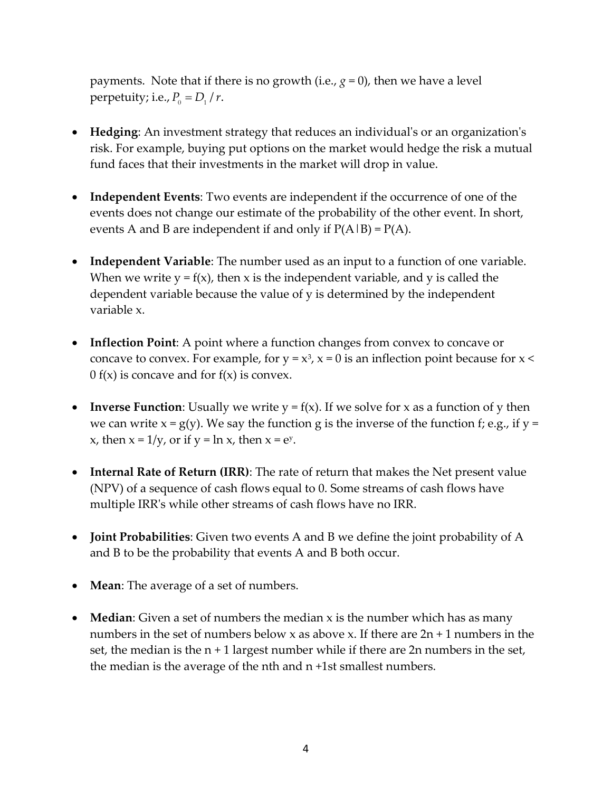payments. Note that if there is no growth (i.e.,  $g = 0$ ), then we have a level perpetuity; i.e.,  $P_0 = D_1 / r$ .

- **Hedging**: An investment strategy that reduces an individual's or an organization's risk. For example, buying put options on the market would hedge the risk a mutual fund faces that their investments in the market will drop in value.
- **Independent Events**: Two events are independent if the occurrence of one of the events does not change our estimate of the probability of the other event. In short, events A and B are independent if and only if  $P(A|B) = P(A)$ .
- **Independent Variable**: The number used as an input to a function of one variable. When we write  $y = f(x)$ , then x is the independent variable, and y is called the dependent variable because the value of y is determined by the independent variable x.
- **Inflection Point**: A point where a function changes from convex to concave or concave to convex. For example, for  $y = x^3$ ,  $x = 0$  is an inflection point because for  $x <$ 0 f(x) is concave and for  $f(x)$  is convex.
- **Inverse Function**: Usually we write  $y = f(x)$ . If we solve for x as a function of y then we can write  $x = g(y)$ . We say the function g is the inverse of the function f; e.g., if  $y =$ x, then  $x = 1/y$ , or if  $y = \ln x$ , then  $x = e^y$ .
- **Internal Rate of Return (IRR)**: The rate of return that makes the Net present value (NPV) of a sequence of cash flows equal to 0. Some streams of cash flows have multiple IRR's while other streams of cash flows have no IRR.
- **Joint Probabilities**: Given two events A and B we define the joint probability of A and B to be the probability that events A and B both occur.
- **Mean**: The average of a set of numbers.
- **Median**: Given a set of numbers the median x is the number which has as many numbers in the set of numbers below x as above x. If there are  $2n + 1$  numbers in the set, the median is the  $n + 1$  largest number while if there are  $2n$  numbers in the set, the median is the average of the nth and n +1st smallest numbers.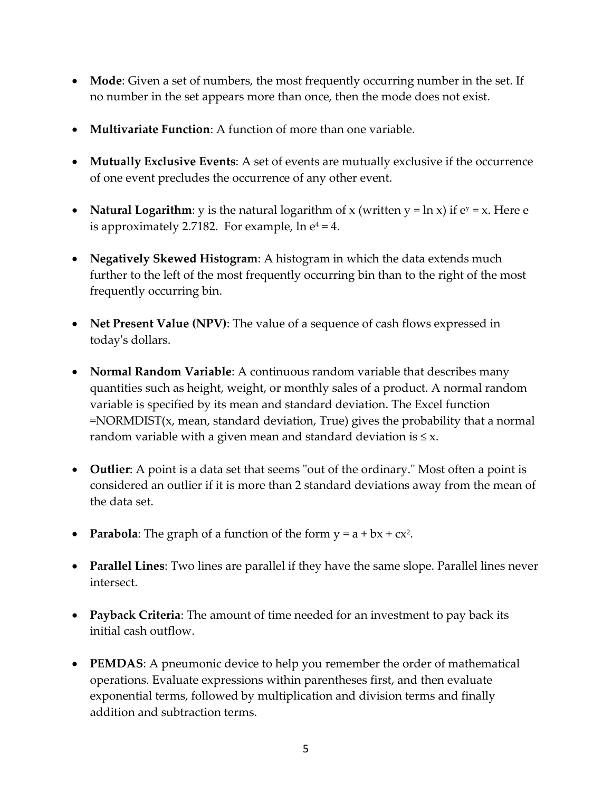- **Mode**: Given a set of numbers, the most frequently occurring number in the set. If no number in the set appears more than once, then the mode does not exist.
- **Multivariate Function**: A function of more than one variable.
- **Mutually Exclusive Events**: A set of events are mutually exclusive if the occurrence of one event precludes the occurrence of any other event.
- **Natural Logarithm**: y is the natural logarithm of x (written  $y = \ln x$ ) if  $e^y = x$ . Here e is approximately 2.7182. For example,  $\ln e^4 = 4$ .
- **Negatively Skewed Histogram**: A histogram in which the data extends much further to the left of the most frequently occurring bin than to the right of the most frequently occurring bin.
- **Net Present Value (NPV)**: The value of a sequence of cash flows expressed in today's dollars.
- **Normal Random Variable**: A continuous random variable that describes many quantities such as height, weight, or monthly sales of a product. A normal random variable is specified by its mean and standard deviation. The Excel function =NORMDIST(x, mean, standard deviation, True) gives the probability that a normal random variable with a given mean and standard deviation is  $\leq x$ .
- **Outlier**: A point is a data set that seems "out of the ordinary." Most often a point is considered an outlier if it is more than 2 standard deviations away from the mean of the data set.
- **Parabola**: The graph of a function of the form  $y = a + bx + cx^2$ .
- **Parallel Lines**: Two lines are parallel if they have the same slope. Parallel lines never intersect.
- **Payback Criteria**: The amount of time needed for an investment to pay back its initial cash outflow.
- **PEMDAS**: A pneumonic device to help you remember the order of mathematical operations. Evaluate expressions within parentheses first, and then evaluate exponential terms, followed by multiplication and division terms and finally addition and subtraction terms.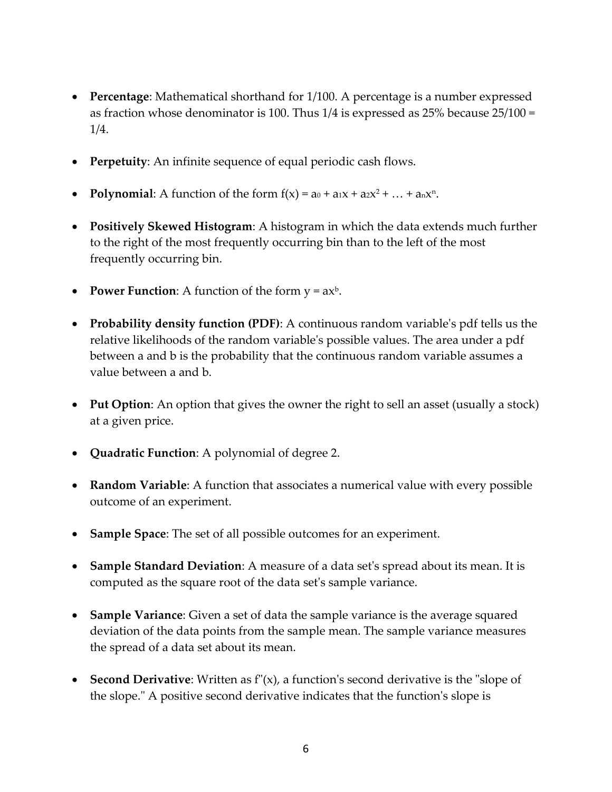- **Percentage**: Mathematical shorthand for 1/100. A percentage is a number expressed as fraction whose denominator is 100. Thus 1/4 is expressed as 25% because 25/100 = 1/4.
- **Perpetuity**: An infinite sequence of equal periodic cash flows.
- Polynomial: A function of the form  $f(x) = a_0 + a_1x + a_2x^2 + ... + a_nx^n$ .
- **Positively Skewed Histogram**: A histogram in which the data extends much further to the right of the most frequently occurring bin than to the left of the most frequently occurring bin.
- **Power Function**: A function of the form  $y = ax^b$ .
- **Probability density function (PDF)**: A continuous random variable's pdf tells us the relative likelihoods of the random variable's possible values. The area under a pdf between a and b is the probability that the continuous random variable assumes a value between a and b.
- Put Option: An option that gives the owner the right to sell an asset (usually a stock) at a given price.
- **Quadratic Function**: A polynomial of degree 2.
- **Random Variable**: A function that associates a numerical value with every possible outcome of an experiment.
- **Sample Space**: The set of all possible outcomes for an experiment.
- **Sample Standard Deviation**: A measure of a data set's spread about its mean. It is computed as the square root of the data set's sample variance.
- **Sample Variance**: Given a set of data the sample variance is the average squared deviation of the data points from the sample mean. The sample variance measures the spread of a data set about its mean.
- **Second Derivative**: Written as f"(x), a function's second derivative is the "slope of the slope." A positive second derivative indicates that the function's slope is